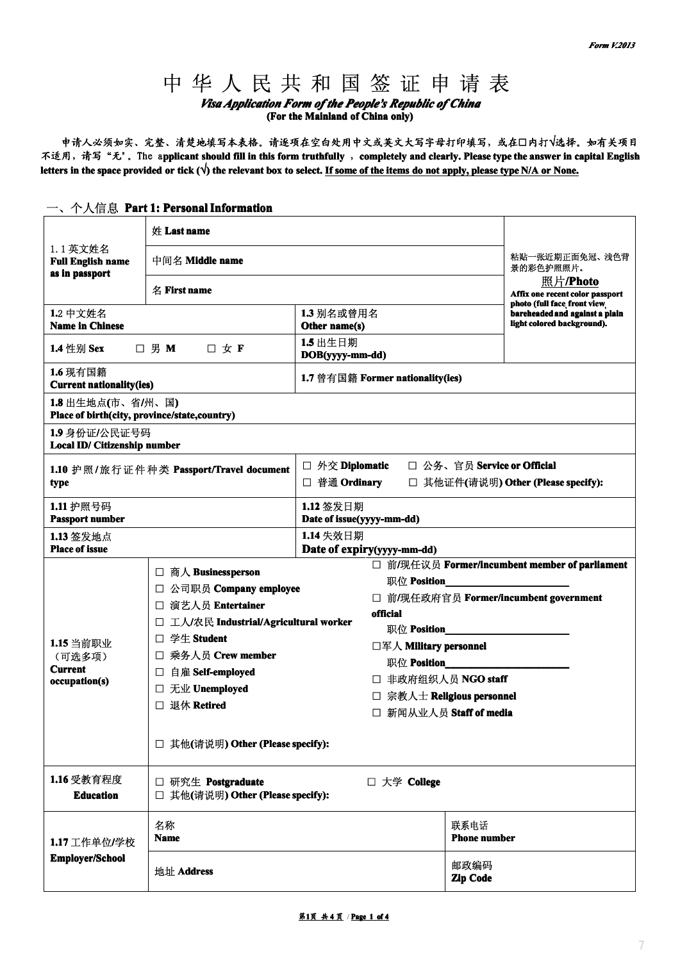# *Visa Application Form of the People's Republic of China*

**(For the Mainland of China only)**

<sup>中</sup> <sup>华</sup> <sup>人</sup> <sup>民</sup> <sup>共</sup> <sup>和</sup> <sup>国</sup> <sup>签</sup> <sup>证</sup> <sup>申</sup> <sup>请</sup> <sup>表</sup> **申请人必须如实、 申请人必须如实、申请人必须如实、申请人必须如实、完整、清楚地填写本表格。请逐项在空白处用中文或英文大写字母打印填写,或在 填写本表格。请逐项在空白处用中文或英文大写字母打印填写,或在填写本表格。请逐项在空白处用中文或英文大写字母打印填写,或在填写本表格。请逐项在空白处用中文或英文大写字母打印填写,或在□内打√选择。如有关项目** 不适用, 请写"无". The applicant should fill in this form truthfully, completely and clearly. Please type the answer in capital English letters in the space provided or tick  $(\sqrt{})$  the relevant box to select. If some of the items do not apply, please type N/A or None.

|                                                                    | 姓 Last name                                                                                                                                                                                                                                           |                                                                                                        |                                                                                                                                                   |  |
|--------------------------------------------------------------------|-------------------------------------------------------------------------------------------------------------------------------------------------------------------------------------------------------------------------------------------------------|--------------------------------------------------------------------------------------------------------|---------------------------------------------------------------------------------------------------------------------------------------------------|--|
| 1.1 英文姓名<br><b>Full English name</b><br>as in passport             | 中间名 Middle name<br>名 First name                                                                                                                                                                                                                       |                                                                                                        | 粘贴一张近期正面免冠、浅色背<br>景的彩色护照照片。                                                                                                                       |  |
|                                                                    |                                                                                                                                                                                                                                                       |                                                                                                        | 照片/Photo<br>Affix one recent color passport                                                                                                       |  |
| 1.2 中文姓名<br><b>Name in Chinese</b>                                 |                                                                                                                                                                                                                                                       | 1.3 别名或曾用名<br>Other name(s)                                                                            | photo (full face front view<br>bareheaded and against a plain<br>light colored background).                                                       |  |
| 1.4 性别 Sex                                                         | □ 男 M<br>口女下                                                                                                                                                                                                                                          | 1.5 出生日期<br>DOB(yyyy-mm-dd)                                                                            |                                                                                                                                                   |  |
| 1.6 现有国籍<br><b>Current nationality(ies)</b>                        |                                                                                                                                                                                                                                                       | 1.7 曾有国籍 Former nationality(ies)                                                                       |                                                                                                                                                   |  |
| 1.8 出生地点(市、省/州、国)<br>Place of birth(city, province/state, country) |                                                                                                                                                                                                                                                       |                                                                                                        |                                                                                                                                                   |  |
| 1.9 身份证/公民证号码<br>Local ID/ Citizenship number                      |                                                                                                                                                                                                                                                       |                                                                                                        |                                                                                                                                                   |  |
| type                                                               | 1.10 护照/旅行证件种类 Passport/Travel document                                                                                                                                                                                                               | □ 外交 Diplomatic<br>□ 普通 Ordinary                                                                       | □ 公务、官员 Service or Official<br>□ 其他证件(请说明) Other (Please specify):                                                                                |  |
| 1.11 护照号码<br><b>Passport number</b>                                |                                                                                                                                                                                                                                                       | 1.12 签发日期<br>Date of issue(yyyy-mm-dd)                                                                 |                                                                                                                                                   |  |
| 1.13 签发地点<br><b>Place of issue</b>                                 |                                                                                                                                                                                                                                                       | 1.14 失效日期<br>Date of expiry(yyyy-mm-dd)                                                                |                                                                                                                                                   |  |
| 1.15 当前职业<br>(可选多项)<br><b>Current</b><br>occupation(s)             | □ 商人 Businessperson<br>□ 公司职员 Company employee<br>□ 演艺人员 Entertainer<br>□ 工人/农民 Industrial/Agricultural worker<br>□ 学生 Student<br>□ 乘务人员 Crew member<br>自雇 Self-employed<br>ப<br>□ 无业 Unemployed<br>□ 退休 Retired<br>□ 其他(请说明) Other (Please specify): | 职位 Position<br>official<br>职位 Position<br>□军人 Military personnel<br>职位 Position<br>□ 非政府组织人员 NGO staff | □ 前/现任议员 Former/incumbent member of parliament<br>□ 前/现任政府官员 Former/incumbent government<br>□ 宗教人士 Religious personnel<br>□ 新闻从业人员 Staff of media |  |
| 1.16 受教育程度<br><b>Education</b>                                     | □ 研究生 Postgraduate<br>□ 其他(请说明) Other (Please specify):                                                                                                                                                                                               | □ 大学 College                                                                                           |                                                                                                                                                   |  |
| 1.17 工作单位/学校                                                       | 名称<br><b>Name</b>                                                                                                                                                                                                                                     |                                                                                                        | 联系电话<br><b>Phone number</b>                                                                                                                       |  |
| <b>Employer/School</b>                                             | 地址 Address                                                                                                                                                                                                                                            |                                                                                                        | 邮政编码<br>Zip Code                                                                                                                                  |  |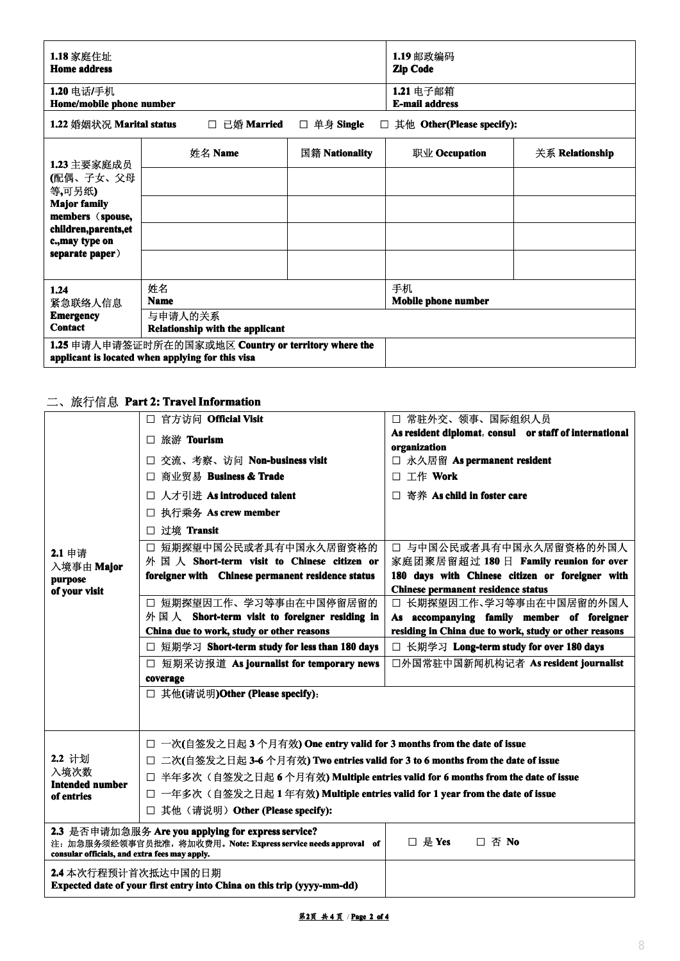| 1.18 家庭住址<br><b>Home address</b>         |                                            |                | 1.19 邮政编码<br><b>Zip Code</b>       |                 |
|------------------------------------------|--------------------------------------------|----------------|------------------------------------|-----------------|
| 1.20 电话/手机<br>Home/mobile phone number   |                                            |                | 1.21 电子邮箱<br><b>E-mail address</b> |                 |
| 1.22 婚姻状况 Marital status                 | □ 已婚 Married                               | □ 单身 Single    | $\Box$ 其他 Other(Please specify):   |                 |
| 1.23 主要家庭成员                              | 姓名 Name                                    | 国籍 Nationality | 职业 Occupation                      | 关系 Relationship |
| (配偶、子女、父母<br>等,可另纸)                      |                                            |                |                                    |                 |
| <b>Major family</b><br>members (spouse,  |                                            |                |                                    |                 |
| children, parents, et<br>c., may type on |                                            |                |                                    |                 |
| separate paper)                          |                                            |                |                                    |                 |
| 1.24<br>紧急联络人信息                          | 姓名<br><b>Name</b>                          |                | 手机<br>Mobile phone number          |                 |
| <b>Emergency</b><br><b>Contact</b>       | 与申请人的关系<br>Relationship with the applicant |                |                                    |                 |

## 二、旅行信息 **Part 2: TravelInformation nformationnformation**

|                                               | □ 官方访问 Official Visit<br>□ 旅游 Tourism<br>□ 交流、考察、访问 Non-business visit<br>□ 商业贸易 Business & Trade<br>□ 人才引进 As introduced talent | □ 常驻外交、领事、国际组织人员<br>As resident diplomat, consul or staff of international<br>organization<br>□ 永久居留 As permanent resident<br>□ 工作 Work |  |
|-----------------------------------------------|----------------------------------------------------------------------------------------------------------------------------------|-----------------------------------------------------------------------------------------------------------------------------------------|--|
|                                               |                                                                                                                                  |                                                                                                                                         |  |
|                                               |                                                                                                                                  |                                                                                                                                         |  |
|                                               |                                                                                                                                  |                                                                                                                                         |  |
|                                               |                                                                                                                                  |                                                                                                                                         |  |
|                                               |                                                                                                                                  | □ 寄养 As child in foster care                                                                                                            |  |
|                                               | 执行乘务 As crew member<br>$\Box$                                                                                                    |                                                                                                                                         |  |
|                                               | □ 过境 Transit                                                                                                                     |                                                                                                                                         |  |
| 2.1 申请                                        | 短期探望中国公民或者具有中国永久居留资格的<br>$\Box$                                                                                                  | □ 与中国公民或者具有中国永久居留资格的外国人                                                                                                                 |  |
| 入境事由 Major                                    | 外国人 Short-term visit to Chinese citizen or                                                                                       | 家庭团聚居留超过 180 日 Family reunion for over                                                                                                  |  |
| purpose<br>of your visit                      | foreigner with Chinese permanent residence status                                                                                | 180 days with Chinese citizen or foreigner with<br><b>Chinese permanent residence status</b>                                            |  |
|                                               | □ 短期探望因工作、学习等事由在中国停留居留的                                                                                                          | □ 长期探望因工作、学习等事由在中国居留的外国人                                                                                                                |  |
|                                               | 外国人 Short-term visit to foreigner residing in                                                                                    | As accompanying family member of foreigner                                                                                              |  |
|                                               | China due to work, study or other reasons                                                                                        | residing in China due to work, study or other reasons                                                                                   |  |
|                                               | □ 短期学习 Short-term study for less than 180 days                                                                                   | □ 长期学习 Long-term study for over 180 days                                                                                                |  |
|                                               | □ 短期采访报道 As journalist for temporary news                                                                                        | 口外国常驻中国新闻机构记者 As resident journalist                                                                                                    |  |
|                                               | coverage                                                                                                                         |                                                                                                                                         |  |
|                                               | □ 其他(请说明)Other (Please specify):                                                                                                 |                                                                                                                                         |  |
|                                               | □ 一次(自签发之日起3个月有效) One entry valid for 3 months from the date of issue                                                            |                                                                                                                                         |  |
| 2.2 计划                                        | □ 二次(自签发之日起 3-6 个月有效) Two entries valid for 3 to 6 months from the date of issue                                                 |                                                                                                                                         |  |
| 入境次数<br><b>Intended number</b>                | □ 半年多次(自签发之日起6个月有效) Multiple entries valid for 6 months from the date of issue                                                   |                                                                                                                                         |  |
| of entries                                    | □ 一年多次(自签发之日起1年有效) Multiple entries valid for 1 year from the date of issue                                                      |                                                                                                                                         |  |
|                                               | □ 其他(请说明) Other (Please specify):                                                                                                |                                                                                                                                         |  |
|                                               | 2.3 是否申请加急服务 Are you applying for express service?<br>注: 加急服务须经领事官员批准, 将加收费用。Note: Express service needs approval of             | □ 是 Yes<br>□ 否 No                                                                                                                       |  |
| consular officials, and extra fees may apply. |                                                                                                                                  |                                                                                                                                         |  |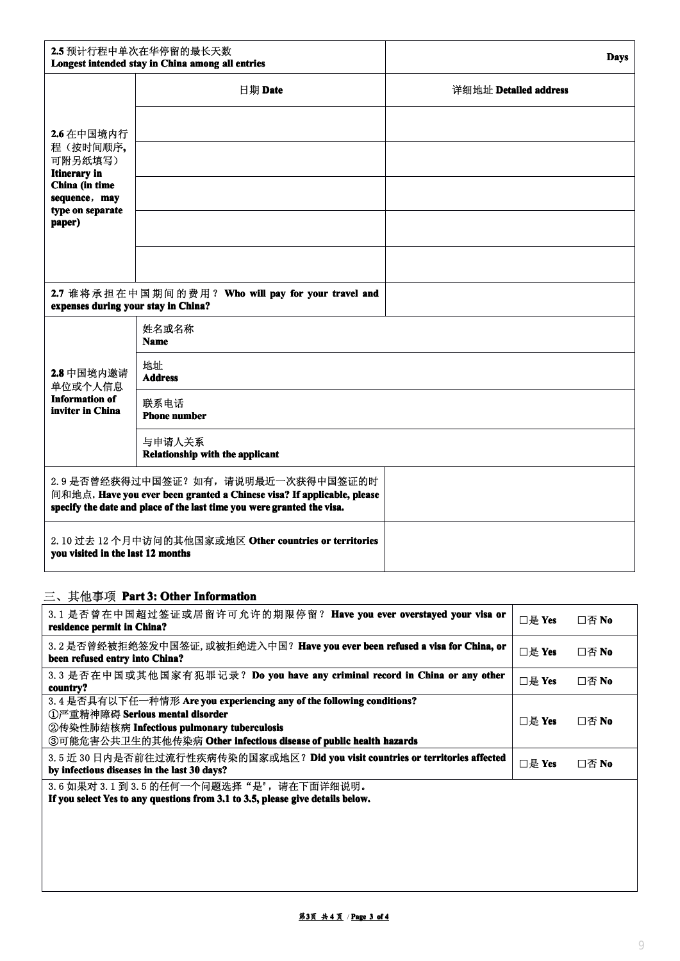|                                                        | 2.5 预计行程中单次在华停留的最长天数<br>Longest intended stay in China among all entries                                                                                                                 |                       |
|--------------------------------------------------------|------------------------------------------------------------------------------------------------------------------------------------------------------------------------------------------|-----------------------|
|                                                        | 日期 Date                                                                                                                                                                                  | 详细地址 Detailed address |
| 2.6 在中国境内行                                             |                                                                                                                                                                                          |                       |
| 程(按时间顺序,<br>可附另纸填写)                                    |                                                                                                                                                                                          |                       |
| <b>Itinerary</b> in<br>China (in time<br>sequence, may |                                                                                                                                                                                          |                       |
| type on separate<br>paper)                             |                                                                                                                                                                                          |                       |
|                                                        |                                                                                                                                                                                          |                       |
|                                                        | 2.7 谁将承担在中国期间的费用? Who will pay for your travel and                                                                                                                                       |                       |
| expenses during your stay in China?                    | 姓名或名称<br><b>Name</b>                                                                                                                                                                     |                       |
| 2.8 中国境内邀请<br>单位或个人信息                                  | 地址<br><b>Address</b>                                                                                                                                                                     |                       |
| <b>Information of</b><br>inviter in China              | 联系电话<br><b>Phone number</b>                                                                                                                                                              |                       |
|                                                        | 与申请人关系<br>Relationship with the applicant                                                                                                                                                |                       |
|                                                        | 2.9 是否曾经获得过中国签证? 如有, 请说明最近一次获得中国签证的时<br>间和地点. Have you ever been granted a Chinese visa? If applicable, please<br>specify the date and place of the last time you were granted the visa. |                       |

## 三、其他事项 **Part 3: Other Information Information**

| 3.1 是否曾在中国超过签证或居留许可允许的期限停留? Have you ever overstayed your visa or<br>residence permit in China?                                                                                                                             | $\Box$ 是 Yes | 口否 No |
|-----------------------------------------------------------------------------------------------------------------------------------------------------------------------------------------------------------------------------|--------------|-------|
| 3.2 是否曾经被拒绝签发中国签证, 或被拒绝进入中国? Have you ever been refused a visa for China, or<br>been refused entry into China?                                                                                                              | $\Box$ 是 Yes | □否 No |
| 3.3 是否在中国或其他国家有犯罪记录? Do you have any criminal record in China or any other<br>country?                                                                                                                                      | $\Box$ 是 Yes | □否 No |
| 3.4 是否具有以下任一种情形 Are you experiencing any of the following conditions?<br>①严重精神障碍 Serious mental disorder<br>②传染性肺结核病 Infectious pulmonary tuberculosis<br>③可能危害公共卫生的其他传染病 Other infectious disease of public health hazards | □是 Yes       | 口否 No |
| 3.5近 30日内是否前往过流行性疾病传染的国家或地区? Did you visit countries or territories affected<br>by infectious diseases in the last 30 days?                                                                                                 | $\Box$ 是 Yes | □否 No |
| 3.6 如果对 3.1 到 3.5 的任何一个问题选择"是", 请在下面详细说明。<br>If you calact Van to our curretains from 2.1 to 2.5 whose citro details holair                                                                                                 |              |       |

**If you select Yes toany questions from 3.1 to 3.5, please give details below.**